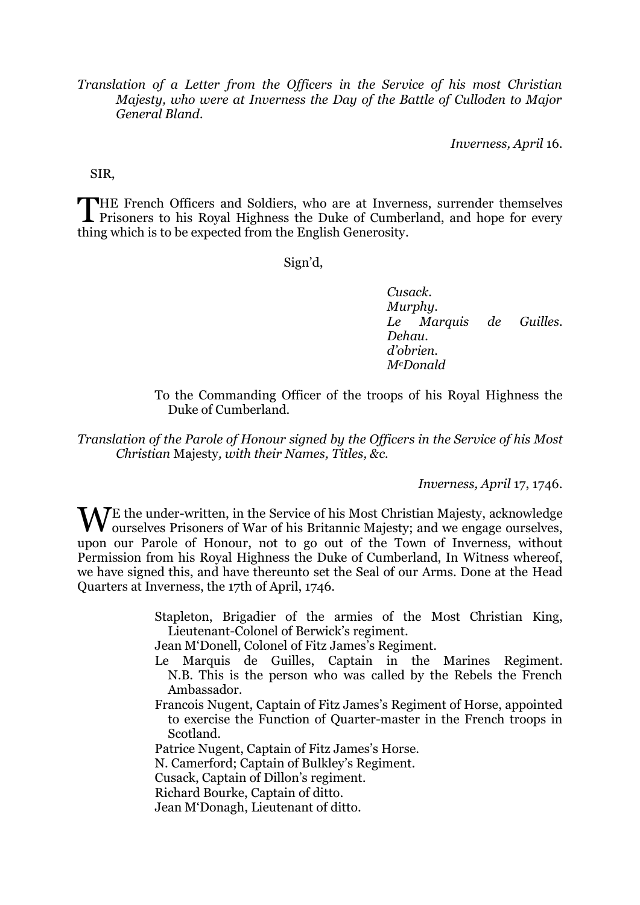*Translation of a Letter from the Officers in the Service of his most Christian Majesty, who were at Inverness the Day of the Battle of Culloden to Major General Bland.*

*Inverness, April* 16.

SIR,

THE French Officers and Soldiers, who are at Inverness, surrender themselves<br>Prisoners to his Royal Highness the Duke of Cumberland, and hope for every **L** Prisoners to his Royal Highness the Duke of Cumberland, and hope for every thing which is to be expected from the English Generosity.

Sign'd,

*Cusack. Murphy. Le Marquis de Guilles. Dehau. d'obrien. McDonald*

To the Commanding Officer of the troops of his Royal Highness the Duke of Cumberland.

*Translation of the Parole of Honour signed by the Officers in the Service of his Most Christian* Majesty*, with their Names, Titles, &c.*

*Inverness, April* 17, 1746.

WE the under-written, in the Service of his Most Christian Majesty, acknowledge ourselves. Prisoners of War of his Britannic Majesty; and we engage ourselves, ourselves Prisoners of War of his Britannic Majesty; and we engage ourselves, upon our Parole of Honour, not to go out of the Town of Inverness, without Permission from his Royal Highness the Duke of Cumberland, In Witness whereof, we have signed this, and have thereunto set the Seal of our Arms. Done at the Head Quarters at Inverness, the 17th of April, 1746.

> Stapleton, Brigadier of the armies of the Most Christian King, Lieutenant-Colonel of Berwick's regiment.

Jean M'Donell, Colonel of Fitz James's Regiment.

- Le Marquis de Guilles, Captain in the Marines Regiment. N.B. This is the person who was called by the Rebels the French Ambassador.
- Francois Nugent, Captain of Fitz James's Regiment of Horse, appointed to exercise the Function of Quarter-master in the French troops in Scotland.

Patrice Nugent, Captain of Fitz James's Horse.

N. Camerford; Captain of Bulkley's Regiment.

Cusack, Captain of Dillon's regiment.

Richard Bourke, Captain of ditto.

Jean M'Donagh, Lieutenant of ditto.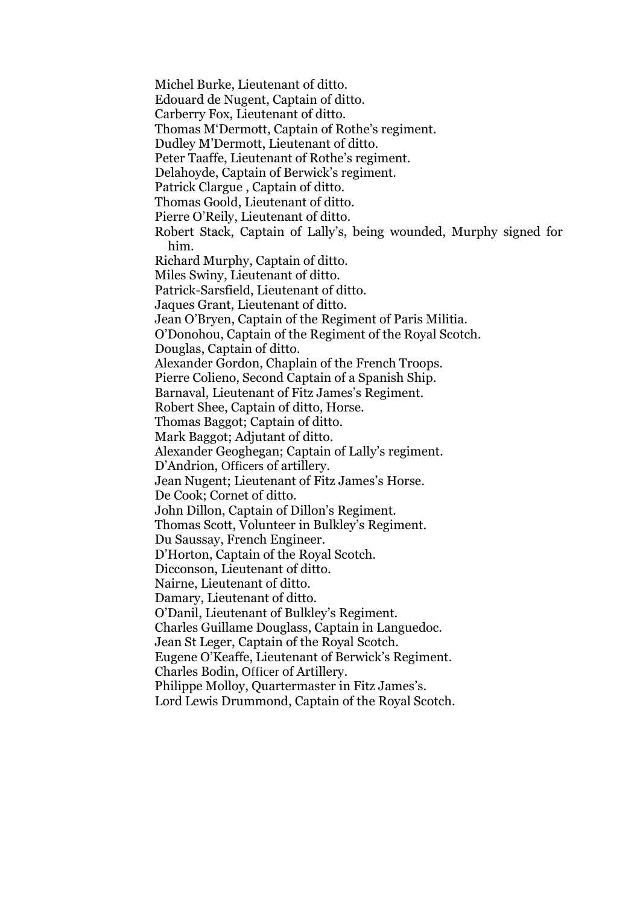Michel Burke, Lieutenant of ditto.

Edouard de Nugent, Captain of ditto.

Carberry Fox, Lieutenant of ditto.

Thomas M'Dermott, Captain of Rothe's regiment.

Dudley M'Dermott, Lieutenant of ditto.

Peter Taaffe, Lieutenant of Rothe's regiment.

Delahoyde, Captain of Berwick's regiment.

Patrick Clargue , Captain of ditto.

Thomas Goold, Lieutenant of ditto.

Pierre O'Reily, Lieutenant of ditto.

Robert Stack, Captain of Lally's, being wounded, Murphy signed for him.

Richard Murphy, Captain of ditto.

Miles Swiny, Lieutenant of ditto.

Patrick-Sarsfield, Lieutenant of ditto.

Jaques Grant, Lieutenant of ditto.

Jean O'Bryen, Captain of the Regiment of Paris Militia.

O'Donohou, Captain of the Regiment of the Royal Scotch.

Douglas, Captain of ditto.

Alexander Gordon, Chaplain of the French Troops.

Pierre Colieno, Second Captain of a Spanish Ship.

Barnaval, Lieutenant of Fitz James's Regiment.

Robert Shee, Captain of ditto, Horse.

Thomas Baggot; Captain of ditto.

Mark Baggot; Adjutant of ditto.

Alexander Geoghegan; Captain of Lally's regiment.

D'Andrion, Officers of artillery.

Jean Nugent; Lieutenant of Fitz James's Horse.

De Cook; Cornet of ditto.

John Dillon, Captain of Dillon's Regiment.

Thomas Scott, Volunteer in Bulkley's Regiment.

Du Saussay, French Engineer.

D'Horton, Captain of the Royal Scotch.

Dicconson, Lieutenant of ditto.

Nairne, Lieutenant of ditto.

Damary, Lieutenant of ditto.

O'Danil, Lieutenant of Bulkley's Regiment.

Charles Guillame Douglass, Captain in Languedoc.

Jean St Leger, Captain of the Royal Scotch.

Eugene O'Keaffe, Lieutenant of Berwick's Regiment.

Charles Bodin, Officer of Artillery.

Philippe Molloy, Quartermaster in Fitz James's.

Lord Lewis Drummond, Captain of the Royal Scotch.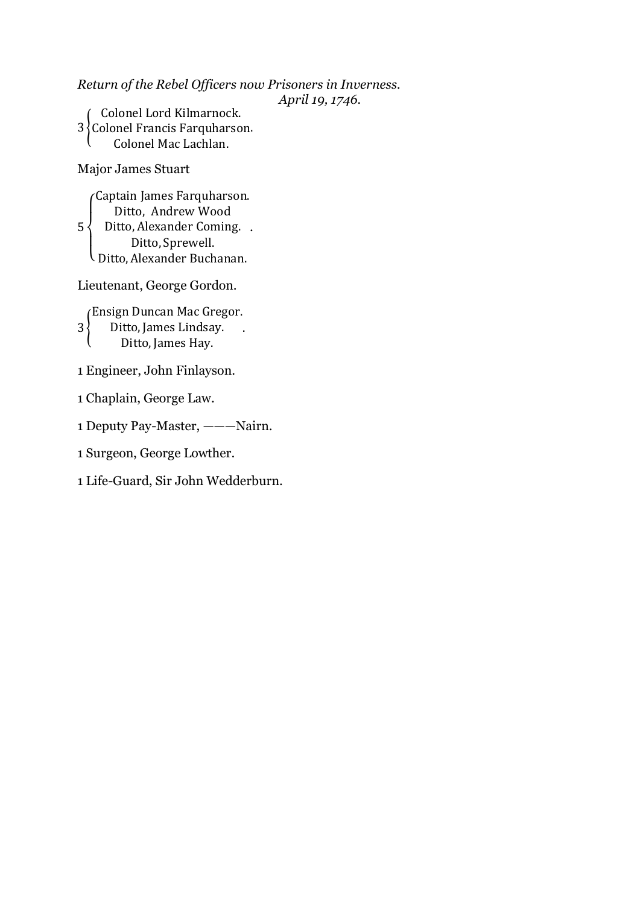*Return of the Rebel Officers now Prisoners in Inverness.*

*April 19, 1746.*

3 } C Colonel Lord Kilmarnock.  $\mathsf C$ .

Major James Stuart

 $5 \cdot$  $\overline{\mathcal{L}}$  $\mathsf{I}$  $\mathbf{I}$  $\mathbf{I}$  $\overline{1}$ Captain James Farquharson. Ditto, Andrew Wood Ditto, Alexander Coming.. Ditto, Sprewell. D

Lieutenant, George Gordon.

3<sup>{</sup> (Ensign Duncan Mac Gregor. D D  $\mathcal{L}_{\mathcal{A}}$ 

1 Engineer, John Finlayson.

1 Chaplain, George Law.

1 Deputy Pay-Master, ———Nairn.

1 Surgeon, George Lowther.

1 Life-Guard, Sir John Wedderburn.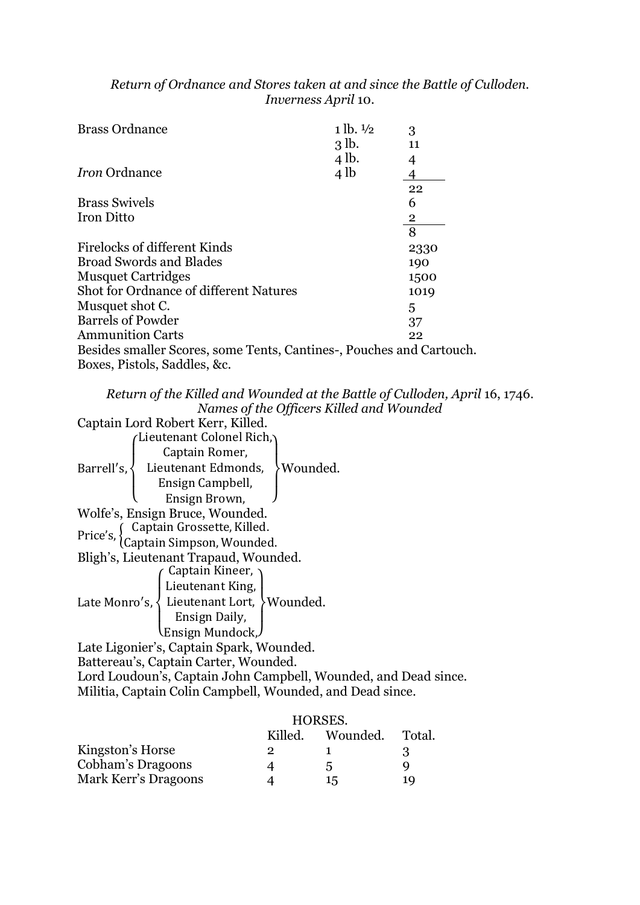## *Return of Ordnance and Stores taken at and since the Battle of Culloden. Inverness April* 10.

| <b>Brass Ordnance</b>                                                | $1 lb. \frac{1}{2}$ | 3              |
|----------------------------------------------------------------------|---------------------|----------------|
|                                                                      | 3 <sub>1b</sub>     | 11             |
|                                                                      | 4 lb.               | 4              |
| <i>Iron</i> Ordnance                                                 | 4 <sub>1b</sub>     |                |
|                                                                      |                     | 22             |
| <b>Brass Swivels</b>                                                 |                     | 6              |
| <b>Iron Ditto</b>                                                    |                     | $\overline{2}$ |
|                                                                      |                     | 8              |
| Firelocks of different Kinds                                         |                     | 2330           |
| <b>Broad Swords and Blades</b>                                       |                     | 190            |
| <b>Musquet Cartridges</b>                                            |                     | 1500           |
| Shot for Ordnance of different Natures                               |                     | 1019           |
| Musquet shot C.                                                      |                     | 5              |
| <b>Barrels of Powder</b>                                             |                     | 37             |
| <b>Ammunition Carts</b>                                              |                     | 22             |
| Besides smaller Scores, some Tents, Cantines-, Pouches and Cartouch. |                     |                |
| Boxes, Pistols, Saddles, &c.                                         |                     |                |

*Return of the Killed and Wounded at the Battle of Culloden, April* 16, 1746. *Names of the Officers Killed and Wounded*

Captain Lord Robert Kerr, Killed. Barrell's  $\overline{\mathcal{L}}$  $\mathsf{I}$  $\mathbf{I}$  $\mathbf{I}$  $\overline{1}$ L Captain Romer, Lieutenant Edmonds, Ensign Campbell, Ensign Brown,  $\vert$  $\overline{1}$  $\mathbf{I}$  $\mathbf{I}$ Wounded. Wolfe's, Ensign Bruce, Wounded. Price's,  $\begin{cases} C \\ C \end{cases}$ C Bligh's, Lieutenant Trapaud, Wounded. Late Monro's  $\overline{\mathcal{L}}$  $\mathbf{I}$  $\mathbf{I}$  $\mathbf{I}$  $\overline{1}$  $\sqrt{2}$  Captain Kineer,  $\sqrt{2}$ Lieutenant King, L Ensign Daily, Ensign Mundock, J  $\mathbf{I}$  $\overline{1}$  $\mathbf{I}$ Wounded. Late Ligonier's, Captain Spark, Wounded.

Battereau's, Captain Carter, Wounded. Lord Loudoun's, Captain John Campbell, Wounded, and Dead since.

Militia, Captain Colin Campbell, Wounded, and Dead since.

|                      | HORSES. |          |        |
|----------------------|---------|----------|--------|
|                      | Killed. | Wounded. | Total. |
| Kingston's Horse     | 2       |          | .પ     |
| Cobham's Dragoons    |         | .5       | Q      |
| Mark Kerr's Dragoons |         | 15       | 10     |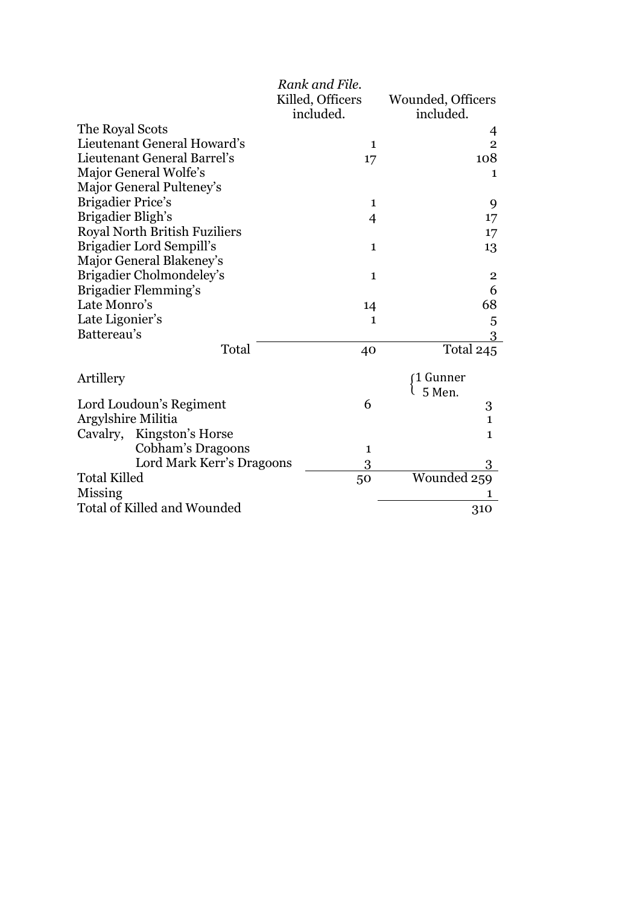|                                      | Rank and File.                |                                |
|--------------------------------------|-------------------------------|--------------------------------|
|                                      | Killed, Officers<br>included. | Wounded, Officers<br>included. |
| The Royal Scots                      |                               | 4                              |
| Lieutenant General Howard's          | 1                             | $\overline{2}$                 |
| Lieutenant General Barrel's          | 17                            | 108                            |
| Major General Wolfe's                |                               | $\mathbf{1}$                   |
| Major General Pulteney's             |                               |                                |
| <b>Brigadier Price's</b>             | 1                             | 9                              |
| Brigadier Bligh's                    | $\overline{4}$                | 17                             |
| <b>Royal North British Fuziliers</b> |                               | 17                             |
| Brigadier Lord Sempill's             | $\mathbf{1}$                  | 13                             |
| Major General Blakeney's             |                               |                                |
| Brigadier Cholmondeley's             | $\mathbf{1}$                  | $\overline{\mathbf{c}}$        |
| Brigadier Flemming's                 |                               | 6                              |
| Late Monro's                         | 14                            | 68                             |
| Late Ligonier's                      | $\mathbf{1}$                  | 5                              |
| Battereau's                          |                               | 3                              |
| Total                                | 40                            | Total 245                      |
| Artillery                            |                               | 1 Gunner                       |
|                                      |                               | 5 Men.                         |
| Lord Loudoun's Regiment              | 6                             | 3                              |
| Argylshire Militia                   |                               | $\mathbf{1}$                   |
| Kingston's Horse<br>Cavalry,         |                               | $\mathbf{1}$                   |
| Cobham's Dragoons                    | $\mathbf{1}$                  |                                |
| Lord Mark Kerr's Dragoons            | 3                             |                                |
| <b>Total Killed</b>                  | 50                            | Wounded 259                    |
| Missing                              |                               |                                |
| Total of Killed and Wounded          |                               | 310                            |